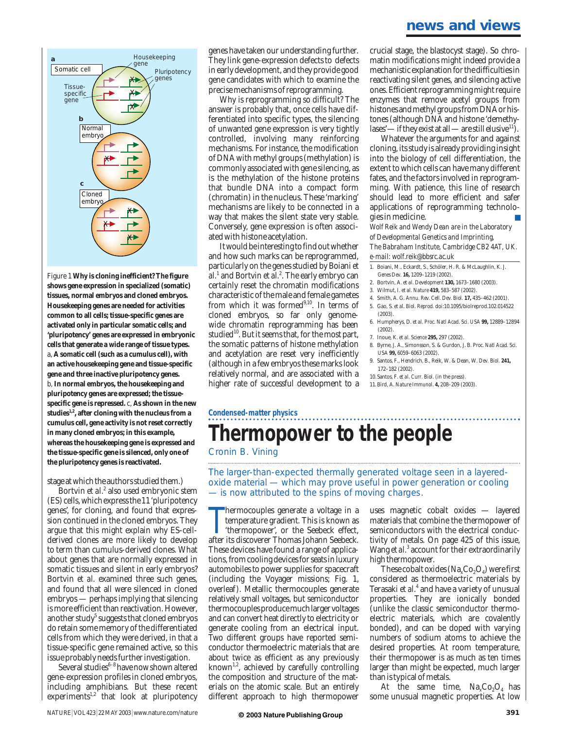#### **news and views**



Figure 1 **Why is cloning inefficient? The figure shows gene expression in specialized (somatic) tissues, normal embryos and cloned embryos. Housekeeping genes are needed for activities common to all cells; tissue-specific genes are activated only in particular somatic cells; and 'pluripotency' genes are expressed in embryonic cells that generate a wide range of tissue types.**  a, **A somatic cell (such as a cumulus cell), with an active housekeeping gene and tissue-specific gene and three inactive pluripotency genes.**  b, **In normal embryos, the housekeeping and pluripotency genes are expressed; the tissuespecific gene is repressed.** c, **As shown in the new studies1,2, after cloning with the nucleus from a cumulus cell, gene activity is not reset correctly in many cloned embryos; in this example, whereas the housekeeping gene is expressed and the tissue-specific gene is silenced, only one of the pluripotency genes is reactivated.**

#### stage at which the authors studied them.)

Bortvin *et al.*<sup>2</sup> also used embryonic stem (ES) cells, which express the 11 'pluripotency genes', for cloning, and found that expression continued in the cloned embryos. They argue that this might explain why ES-cellderived clones are more likely to develop to term than cumulus-derived clones. What about genes that are normally expressed in somatic tissues and silent in early embryos? Bortvin *et al.* examined three such genes, and found that all were silenced in cloned embryos — perhaps implying that silencing is more efficient than reactivation. However, another study<sup>5</sup> suggests that cloned embryos do retain some memory of the differentiated cells from which they were derived, in that a tissue-specific gene remained active, so this issue probably needs further investigation.

Several studies<sup>6-8</sup> have now shown altered gene-expression profiles in cloned embryos, including amphibians. But these recent experiments<sup>1,2</sup> that look at pluripotency

genes have taken our understanding further. They link gene-expression defects to defects in early development, and they provide good gene candidates with which to examine the precise mechanisms of reprogramming.

Why is reprogramming so difficult? The answer is probably that, once cells have differentiated into specific types, the silencing of unwanted gene expression is very tightly controlled, involving many reinforcing mechanisms. For instance, the modification of DNA with methyl groups (methylation) is commonly associated with gene silencing, as is the methylation of the histone proteins that bundle DNA into a compact form (chromatin) in the nucleus. These 'marking' mechanisms are likely to be connected in a way that makes the silent state very stable. Conversely, gene expression is often associated with histone acetylation.

It would be interesting to find out whether and how such marks can be reprogrammed, particularly on the genes studied by Boiani *et al.*<sup>1</sup> and Bortvin *et al.*<sup>2</sup> . The early embryo can certainly reset the chromatin modifications characteristic of the male and female gametes from which it was formed $9,10$ . In terms of cloned embryos, so far only genomewide chromatin reprogramming has been studied $10$ . But it seems that, for the most part, the somatic patterns of histone methylation and acetylation are reset very inefficiently (although in a few embryos these marks look relatively normal, and are associated with a higher rate of successful development to a crucial stage, the blastocyst stage). So chromatin modifications might indeed provide a mechanistic explanation for the difficulties in reactivating silent genes, and silencing active ones. Efficient reprogramming might require enzymes that remove acetyl groups from histones and methyl groups from DNA or histones (although DNA and histone 'demethy- $\text{lases}'$  — if they exist at all — are still elusive<sup>11</sup>).

Whatever the arguments for and against cloning, its study is already providing insight into the biology of cell differentiation, the extent to which cells can have many different fates, and the factors involved in reprogramming. With patience, this line of research should lead to more efficient and safer applications of reprogramming technologies in medicine.

*Wolf Reik and Wendy Dean are in the Laboratory of Developmental Genetics and Imprinting, The Babraham Institute, Cambridge CB2 4AT, UK. e-mail: wolf.reik@bbsrc.ac.uk*

- 1. Boiani, M., Eckardt, S., Schöler, H. R. & McLaughlin, K. J. *Genes Dev.* **16,** 1209–1219 (2002).
- 2. Bortvin, A. *et al. Development* **130,** 1673–1680 (2003).
- 3. Wilmut, I. *et al. Nature* **419,** 583–587 (2002).
- 4. Smith, A. G. *Annu. Rev. Cell. Dev. Biol.* **17,** 435–462 (2001).
- 5. Gao, S. *et al. Biol. Reprod.* doi:10.1095/biolreprod.102.014522 (2003).
- 6. Humpherys, D. *et al. Proc. Natl Acad. Sci. USA* **99,** 12889–12894 (2002).
- 7. Inoue, K. *et al. Science* **295,** 297 (2002).
- 8. Byrne, J. A., Simonsson, S. & Gurdon, J. B. *Proc. Natl Acad. Sci. USA* **99,** 6059–6063 (2002).
- 9. Santos, F., Hendrich, B., Reik, W. & Dean, W. *Dev. Biol.* **241,** 172–182 (2002).
- 10.Santos, F. *et al. Curr. Biol.* (in the press).
- 11.Bird, A. *Nature Immunol.* **4,** 208–209 (2003).

## **Condensed-matter physics Thermopower to the people**

Cronin B. Vining

The larger-than-expected thermally generated voltage seen in a layeredoxide material — which may prove useful in power generation or cooling — is now attributed to the spins of moving charges.

Thermocouples generate a voltage in a temperature gradient. This is known as 'thermopower', or the Seebeck effect, after its discoverer Thomas Johann Seebeck. hermocouples generate a voltage in a temperature gradient. This is known as 'thermopower', or the Seebeck effect, These devices have found a range of applications, from cooling devices for seats in luxury automobiles to power supplies for spacecraft (including the Voyager missions; Fig. 1, overleaf). Metallic thermocouples generate relatively small voltages, but semiconductor thermocouples produce much larger voltages and can convert heat directly to electricity or generate cooling from an electrical input. Two different groups have reported semiconductor thermoelectric materials that are about twice as efficient as any previously known<sup>1,2</sup>, achieved by carefully controlling the composition and structure of the materials on the atomic scale. But an entirely different approach to high thermopower

uses magnetic cobalt oxides — layered materials that combine the thermopower of semiconductors with the electrical conductivity of metals. On page 425 of this issue, Wang *et al.*<sup>3</sup> account for their extraordinarily high thermopower.

These cobalt oxides  $(Na_{\nu}Co_{2}O_{4})$  were first considered as thermoelectric materials by Terasaki *et al.*<sup>4</sup> and have a variety of unusual properties. They are ionically bonded (unlike the classic semiconductor thermoelectric materials, which are covalently bonded), and can be doped with varying numbers of sodium atoms to achieve the desired properties. At room temperature, their thermopower is as much as ten times larger than might be expected, much larger than is typical of metals.

At the same time,  $Na<sub>x</sub>Co<sub>2</sub>O<sub>4</sub>$  has some unusual magnetic properties. At low